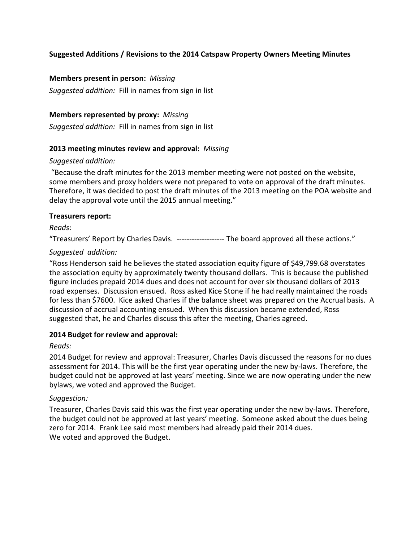# **Suggested Additions / Revisions to the 2014 Catspaw Property Owners Meeting Minutes**

#### **Members present in person:** *Missing*

*Suggested addition:* Fill in names from sign in list

#### **Members represented by proxy:** *Missing*

*Suggested addition:* Fill in names from sign in list

#### **2013 meeting minutes review and approval:** *Missing*

#### *Suggested addition:*

"Because the draft minutes for the 2013 member meeting were not posted on the website, some members and proxy holders were not prepared to vote on approval of the draft minutes. Therefore, it was decided to post the draft minutes of the 2013 meeting on the POA website and delay the approval vote until the 2015 annual meeting."

#### **Treasurers report:**

*Reads*:

"Treasurers' Report by Charles Davis. ------------------- The board approved all these actions."

## *Suggested addition:*

"Ross Henderson said he believes the stated association equity figure of \$49,799.68 overstates the association equity by approximately twenty thousand dollars. This is because the published figure includes prepaid 2014 dues and does not account for over six thousand dollars of 2013 road expenses. Discussion ensued. Ross asked Kice Stone if he had really maintained the roads for less than \$7600. Kice asked Charles if the balance sheet was prepared on the Accrual basis. A discussion of accrual accounting ensued. When this discussion became extended, Ross suggested that, he and Charles discuss this after the meeting, Charles agreed.

#### **2014 Budget for review and approval:**

*Reads:*

2014 Budget for review and approval: Treasurer, Charles Davis discussed the reasons for no dues assessment for 2014. This will be the first year operating under the new by-laws. Therefore, the budget could not be approved at last years' meeting. Since we are now operating under the new bylaws, we voted and approved the Budget.

## *Suggestion:*

Treasurer, Charles Davis said this was the first year operating under the new by-laws. Therefore, the budget could not be approved at last years' meeting. Someone asked about the dues being zero for 2014. Frank Lee said most members had already paid their 2014 dues. We voted and approved the Budget.